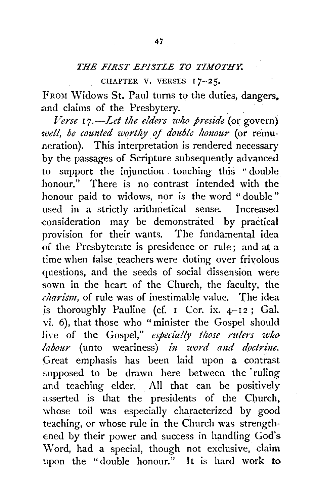## *THE FIRST EPiSTLE TO TIMOTHY.*

CHAPTER V. VERSES 17-25.

FROM Widows St. Paul turns to the duties, dangers. and claims of the Presbytery.

*Verse* I *7.--Let the elders who preside* (or govern) *well, be counted worthy of double honour* (or remuneration). This interpretation is rendered necessary by the passages of Scripture subsequently advanced to support the injunction . touching this "double honour." There is no contrast intended with the honour paid to widows, nor is the word " double" used in a strictly arithmetical sense. Increased consideration may be demonstrated by practical provision for their wants. The fundamental idea of the Presbyterate is presidence or rule: and at a time when false teachers were doting over frivolous questions, and the seeds of social dissension were sown in the heart of the Church, the faculty, the *charism,* of rule was of inestimable value. The idea is thoroughly Pauline (cf.  $I$  Cor. ix.  $4-I2$ ; Gal. vi. 6), that those who "minister the Gospel should live of the Gospel," *especially those rulers who labour* (unto weariness) *in word and doctrine.* Great emphasis has been laid upon a contrast supposed to be drawn here between the ruling and teaching elder. All that can be positively asserted is that the presidents of the Church, whose toil was especially characterized by good teaching, or whose rule in the Church was strengthened by their power and success in handling God's \Vord, had a special, though not exclusive, claim upon the "double honour." It is hard work to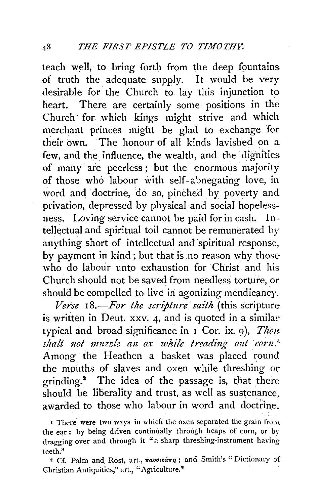teach well, to bring forth from the deep fountains of truth the. adequate supply. It would be very desirable for. the Church to lay this injunction to heart. There are certainly some positions in the Church· for which kings might strive and which merchant princes might be glad to exchange for tlieir own. The honour of all kinds lavished on a few, and the influence, the wealth, and the dignities of many· are peerless; but the enormous majority of those who labour with self- abnegating love, in word and doctrine, do so, pinched by poverty and privation, depressed by physical and social hopelessness. Loving service cannot be. paid for in cash. Intellectual and spiritual toil cannot be remunerated by anything short of intellectual and spiritual response, by payment in kind ; but that is no reason why those who do labour unto exhaustion for Christ and his Church should not be saved from needless torture, or should be compelled to live in agonizing mendicancy.

*Verse 18.-For the scripture .saith* (this'scripture is written in Deut. xxv. 4, and is quoted in a similar typical and broad significance in I Cor. ix. 9), *Thou shalt not muzzle an ox while treading out corn.<sup>1</sup>* Among the Heathen a basket was placed round the mouths of slaves and oxen while threshing or grinding.2 The idea of the passage is, that there  $s$ hould be liberality and trust, as well as sustenance, awarded to those who labour in word and doctrine.

*z* There were two ways in which the oxen separated the grain from the ear : by being driven continually through heaps of corn, or by dragging over and through it "a sharp threshing-instrument having teeth."

2 Cf. Palm and Rost, art.,  $\pi a$ voiká $\pi \eta$ ; and Smith's "Dictionary of Christian Antiquities," art., "Agriculture."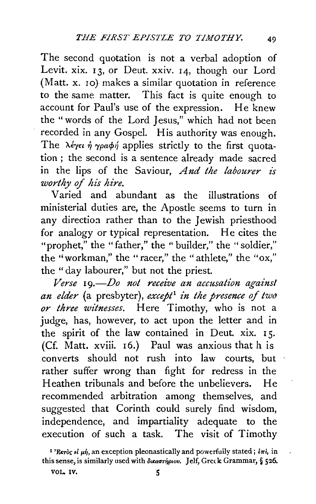The second quotation is not a verbal adoption of Levit. xix. 13, or Deut. xxiv. 14, though our Lord (Matt. x. 10) makes a similar quotation in reference to the same matter. This fact is quite enough to account for Paul's use of the expression. He knew the "words of the Lord Iesus," which had not been recorded in any Gospel. His authority was enough. The  $\lambda \epsilon \gamma \epsilon \nu \eta \gamma \rho a \phi \eta$  applies strictly to the first quotation ; the second is a sentence already made sacred in the lips of the Saviour, *And the labourer zs worthy of his hire.* 

Varied and abundant as the illustrations of ministerial duties are, the Apostle seems to turn in any direction rather than to the Jewish priesthood for analogy or typical representation. He cites the "prophet," the "father," the " builder," the " soldier." the ''workman," the "racer," the "athlete," the "ox," the "day labourer," but not the priest.

*Verse* I *9.-Do not receive an accusation against an elder* (a presbyter), *except 1 in the presence of two or three witnesses.* Here Timothy, who is not a judge, has, however, to act upon the letter and in the spirit of the law contained in Deut. xix. 15. (Cf. Matt. xviii. I6.) Paul was anxious that h is converts should not rush into law courts, but rather suffer wrong than fight for redress in the Heathen tribunals and before the unbelievers. He recommended arbitration among themselves, and suggested that Corinth could surely find wisdom, independence, and impartiality adequate to the execution of such a task. The visit of Timothy

<sup>&</sup>lt;sup>1</sup>'Exròc  $\epsilon i$   $\mu \dot{\eta}$ , an exception pleonastically and powerfully stated;  $\delta \pi i$ , in this sense, is similarly used with  $\delta$ *uxaorhpiov.* Jelf, Greck Grammar, § 526.

VOL. IV.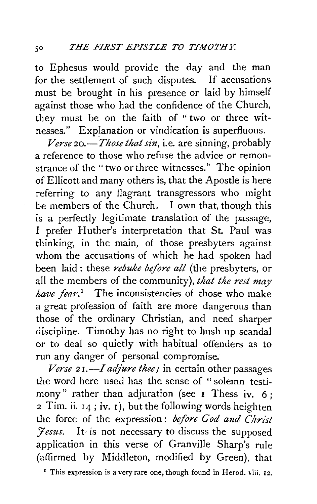to Ephesus would provide the day and the man for the settlement of such disputes. If accusations must be brought in his presence or laid by himself against those who had the confidence of the Church, they must be on the faith of " two or three witnesses." Explanation or vindication is superfluous.

*Verse 20.-Those that sin,* i.e. are sinning, probably a reference to those who refuse the advice or remonstrance of the " two or three witnesses." The opinion of Ellicott and many others is, that the Apostle is here referring to any flagrant transgressors who might be members of the Church. I own that, though this is a perfectly legitimate translation of the passage, I prefer Huther's interpretation that St. Paul was thinking, in the main, of those presbyters against whom the accusations of which he had spoken had been laid: these *rebuke before all* (the presbyters, or all the members of the community), *that the rest may have fear.*<sup>1</sup> The inconsistencies of those who make a great profession of faith are more dangerous than those of the ordinary Christian, and need sharper discipline. Timothy has no right to hush up scandal or to deal so quietly with habitual offenders as to run any danger of personal compromise.

*Verse 21.—I adjure thee;* in certain other passages the word here used has the sense of " solemn testimony" rather than adjuration (see I Thess iv. 6; 2 Tim. ii. 14 ; iv. 1 ), but the following words heighten the force of the expression : *before God and Christ Fesus.* It is not necessary to discuss the supposed application in this verse of Granville Sharp's rule (affirmed by Middleton, modified by Green), that

• This expression is a very rare one, though found in Herod. viii. 12.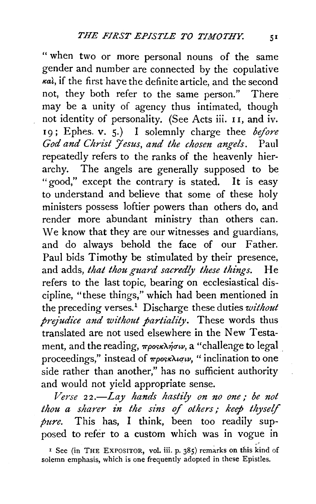" when two or more personal nouns of the same gender and number are connected by the copulative  $\kappa a$ , if the first have the definite article, and the second not, they both refer to the same person." There may be a unity of agency thus intimated, though not identity of personality. (See Acts iii. I I, and iv. 19; Ephes. v. 5.) I solemnly charge thee *before* God and Christ *Jesus, and the chosen angels*. Paul repeatedly refers to the ranks of the heavenly hierarchy. The angels are generally supposed to be " good," except the contrary is stated. It is easy to understand and believe that some of these holy ministers possess loftier powers than others do, and render more abundant ministry than others can. We know that they are our witnesses and guardians, and do always behold the face of our Father. Paul bids Timothy be stimulated by their presence, and adds, *that thou guard sacredly these things*. He refers to the last topic, bearing on ecclesiastical discipline, "these things," which had been mentioned in the preceding verses.<sup>1</sup> Discharge these duties *without prejudice and without partiality.* These words thus translated are not used elsewhere in the New Testament, and the reading,  $\pi\rho$ osk $\lambda$  $\eta \sigma \nu$ , a "challenge to legal proceedings," instead of  $\pi\rho$ osk $\lambda$ *iqu*, " inclination to one side rather than another," has no sufficient authority and would not yield appropriate sense.

*Verse 22.-Lay hands hastily on no one; be not thou a sharer in the sins of others; keep thyself pure.* This has, I think, been too readily supposed to refer to a custom which was in vogue in

<sup>I</sup> See (in THE EXPOSITOR, vol. iii. p. 385) remarks on this kind of solemn emphasis, which is one frequently adopted in these Epistles.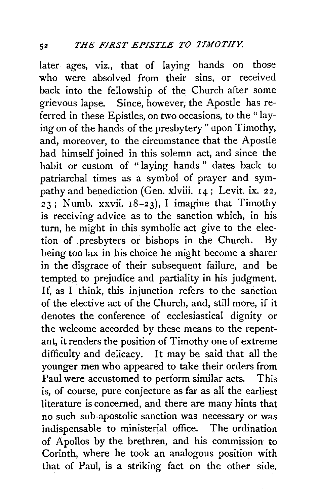later ages, viz., that of laying hands on those who were absolved from their sins, or received back into the fellowship of the Church after some grievous lapse. Since, however, the Apostle has referred in these Epistles, on two occasions, to the "laving on of the hands of the presbytery" upon Timothy, and, moreover, to the circumstance that the Apostle had himself joined in this solemn act, and since the habit or custom of "laying hands" dates back to patriarchal times as a symbol of prayer and sympathy and benediction (Gen. xlviii. 14; Levit. ix. 22, 23; Numb. xxvii.  $18-23$ ), I imagine that Timothy is receiving advice as to the sanction which, in his turn, he might in this symbolic act give to the election of presbyters or bishops in the Church. By being too lax in his choice he might become a sharer in the disgrace of their subsequent failure, and be tempted to prejudice and partiality in his judgment. If, as I think, this injunction refers to the sanction of the elective act of the Church, and, still more, if it denotes the conference of ecclesiastical dignity or the welcome accorded by these means to the repentant, it renders the position of Timothy one of extreme difficulty and delicacy. It may be said that all the younger men who appeared to take their orders from Paul were accustomed to perform similar acts. This is, of course, pure conjecture as far as all the earliest literature is concerned, and there are many hints that no such sub-apostolic sanction was necessary or was indispensable to ministerial office. The ordination of Apollos by the brethren, and his commission to Corinth, where he took an analogous position with that of Paul, is a striking fact on the other side.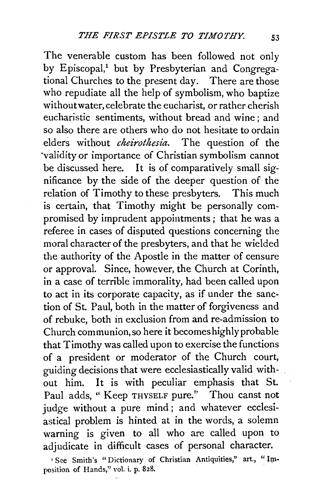The venerable custom has been followed not only by Episcopal,<sup>1</sup> but by Presbyterian and Congregational Churches to the present day. There are those who repudiate all the help of symbolism, who baptize without water, celebrate the eucharist, or rather cherish eucharistic sentiments, without bread and wine ; and so also there are others who do not hesitate to ordain elders without *cheirothesia*. The question of the validity or importance of Christian symbolism cannot be discussed here. It is of comparatively small significance by the side of the deeper question of the relation of Timothy to these presbyters. This much is certain, that Timothy might be personally compromised by imprudent appointments ; that he was a referee in cases of disputed questions concerning the moral character of the presbyters, and that he wielded the authority of the Apostle in the matter of censure or approval. Since, however, the Church at Corinth, in a case of terrible immorality, had been called upon to act in its corporate capacity, as if under the sanction of St. Paul, both in the matter of forgiveness and of rebuke, both in exclusion from and re-admission to Church communion, so here it becomeshighlyprobable that Timothy was called upon to exercise the functions of a president or moderator of the Church court, guiding decisions that were ecclesiastically valid without him. It is with peculiar emphasis that St. Paul adds, "Keep THYSELF pure." Thou canst not judge without a pure mind; and whatever ecclesiastical problem is hinted at in the words, a solemn warning is given to all who are called upon to adjudicate in difficult cases of personal character.

' See Smith's "Dictionary of Christian Antiquities," art., "Imposition of Hands,'' vol. i. p. 828.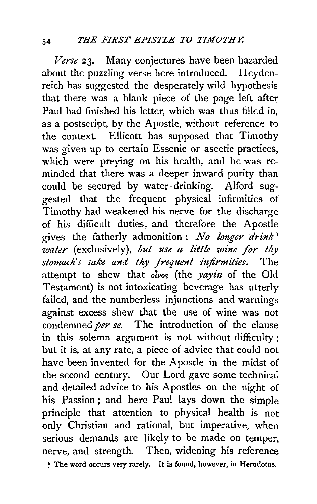*Verse* 23.-Many conjectures have been hazarded about the puzzling verse here introduced. Heydenreich has suggested the desperately wild hypothesis that there was a blank piece of the page left after Paul had finished his letter, which was thus filled in, as a postscript, by the Apostle, without reference to the context. Ellicott has supposed that Timothy was given up to certain Essenic or ascetic practices, which were preving on his health, and he was reminded that there was a deeper inward purity than could be secured by water-drinking. Alford suggested that the frequent physical infirmities of Timothy had weakened his nerve for the discharge of his difficult duties, and therefore the Apostle gives the fatherly admonition : *No longer drink* <sup>1</sup> *water* (exclusively), *but use a li'ttle wine for thy*  stomach's sake and thy frequent infirmities. The attempt to shew that olvo~ (the *yayin* of the Old Testament) is not intoxicating beverage has utterly failed, and the numberless injunctions and warnings against excess shew that the use of wine was not condemned *per se.* The introduction of the clause in this solemn argument is not without difficulty ; but it is, at any rate, a piece of advice that could not have been invented for the Apostle in the midst of the second century. Our Lord gave some technical and detailed advice to his Apostles on the night of his Passion ; and here Paul lays down the simple principle that attention to physical health is not only Christian and rational, but imperative, when serious demands are likely to be made on temper, nerve, and strength. Then, widening his reference ~ The word occurs very rarely. It is found, however, in Herodotus.